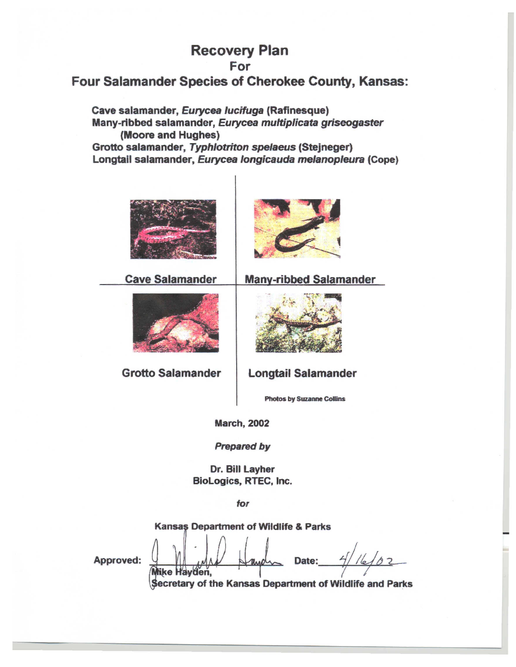# **Recovery Plan** For

# Four Salamander Species of Cherokee County, Kansas:

Cave salamander, Eurycea lucifuga (Rafinesque) Many-ribbed salamander, Eurycea multiplicata griseogaster (Moore and Hughes) Grotto salamander, Typhlotriton spelaeus (Stejneger) Longtail salamander, Eurycea longicauda melanopleura (Cope)





**Cave Salamander** 



**Grotto Salamander** 

Mike Hayden,



**Longtail Salamander** 

**Photos by Suzanne Collins** 

**March, 2002** 

**Prepared by** 

Dr. Bill Layher BioLogics, RTEC, Inc.

for

Kansas Department of Wildlife & Parks

Approved:

 $42$ Date:

Secretary of the Kansas Department of Wildlife and Parks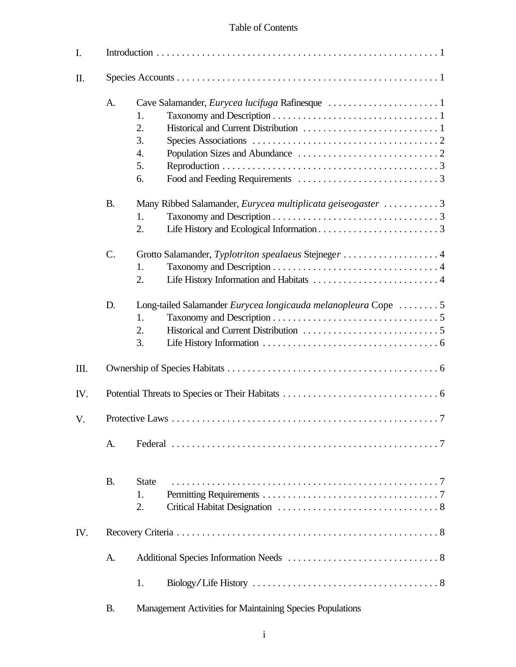# Table of Contents

| I.   |                |                                                                                 |  |
|------|----------------|---------------------------------------------------------------------------------|--|
| Π.   |                |                                                                                 |  |
|      | A.             | 1.<br>2.<br>3.<br>4.<br>5.<br>6.                                                |  |
|      | <b>B.</b>      | Many Ribbed Salamander, Eurycea multiplicata geiseogaster 3<br>1.<br>2.         |  |
|      | $\mathsf{C}$ . | Grotto Salamander, Typlotriton spealaeus Stejneger 4<br>1.<br>2.                |  |
|      | D.             | Long-tailed Salamander Eurycea longicauda melanopleura Cope 5<br>1.<br>2.<br>3. |  |
| III. |                |                                                                                 |  |
| IV.  |                |                                                                                 |  |
| V.   |                |                                                                                 |  |
|      | A.             |                                                                                 |  |
|      | <b>B.</b>      | <b>State</b><br>1.<br>2.                                                        |  |
| IV.  |                |                                                                                 |  |
|      | A.             |                                                                                 |  |
|      |                | 1.                                                                              |  |
|      | <b>B.</b>      | Management Activities for Maintaining Species Populations                       |  |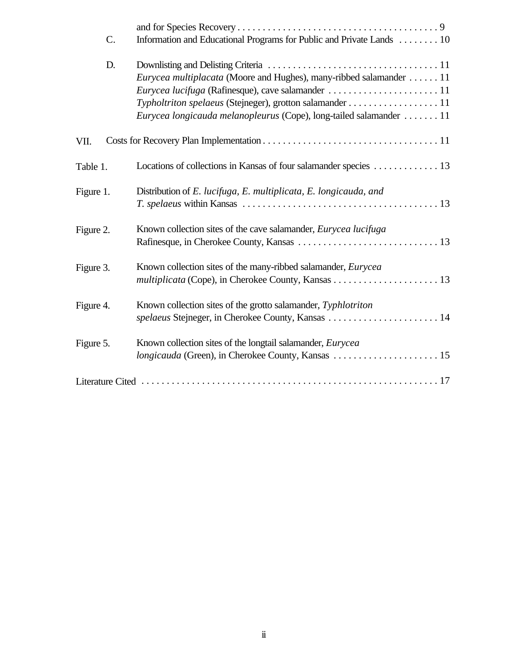| C.        | Information and Educational Programs for Public and Private Lands  10     |
|-----------|---------------------------------------------------------------------------|
| D.        |                                                                           |
|           | <i>Eurycea multiplacata</i> (Moore and Hughes), many-ribbed salamander 11 |
|           |                                                                           |
|           | Typholtriton spelaeus (Stejneger), grotton salamander 11                  |
|           | Eurycea longicauda melanopleurus (Cope), long-tailed salamander  11       |
| VII.      |                                                                           |
| Table 1.  | Locations of collections in Kansas of four salamander species 13          |
| Figure 1. | Distribution of E. lucifuga, E. multiplicata, E. longicauda, and          |
|           |                                                                           |
| Figure 2. | Known collection sites of the cave salamander, <i>Eurycea lucifuga</i>    |
|           |                                                                           |
| Figure 3. | Known collection sites of the many-ribbed salamander, <i>Eurycea</i>      |
|           |                                                                           |
| Figure 4. | Known collection sites of the grotto salamander, Typhlotriton             |
|           | spelaeus Stejneger, in Cherokee County, Kansas  14                        |
| Figure 5. | Known collection sites of the longtail salamander, <i>Eurycea</i>         |
|           |                                                                           |
|           |                                                                           |
|           |                                                                           |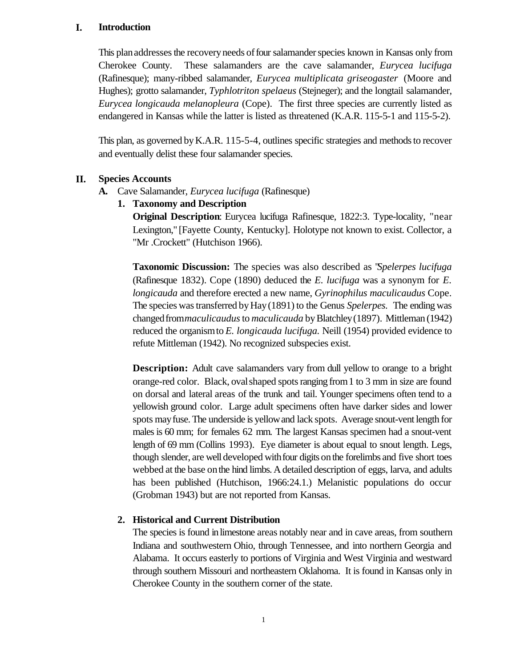#### **I. Introduction**

This plan addresses the recovery needs of four salamander species known in Kansas only from Cherokee County. These salamanders are the cave salamander, *Eurycea lucifuga* (Rafinesque); many-ribbed salamander, *Eurycea multiplicata griseogaster* (Moore and Hughes); grotto salamander, *Typhlotriton spelaeus* (Stejneger); and the longtail salamander, *Eurycea longicauda melanopleura* (Cope). The first three species are currently listed as endangered in Kansas while the latter is listed as threatened (K.A.R. 115-5-1 and 115-5-2).

This plan, as governed by K.A.R. 115-5-4, outlines specific strategies and methods to recover and eventually delist these four salamander species.

# **II. Species Accounts**

**A.** Cave Salamander, *Eurycea lucifuga* (Rafinesque)

# **1. Taxonomy and Description**

**Original Description**: Eurycea lucifuga Rafinesque, 1822:3. Type-locality, "near Lexington," [Fayette County, Kentucky]. Holotype not known to exist. Collector, a "Mr .Crockett" (Hutchison 1966).

**Taxonomic Discussion:** The species was also described as "*Spelerpes lucifuga* (Rafinesque 1832). Cope (1890) deduced the *E. lucifuga* was a synonym for *E. longicauda* and therefore erected a new name, *Gyrinophilus maculicaudus* Cope. The species wastransferred byHay(1891) to the Genus *Spelerpes.* The endingwas changedfrom*maculicaudus*to *maculicauda* byBlatchley(1897). Mittleman (1942) reduced the organismto *E. longicauda lucifuga.* Neill (1954) provided evidence to refute Mittleman (1942). No recognized subspecies exist.

**Description:** Adult cave salamanders vary from dull yellow to orange to a bright orange-red color. Black, ovalshaped spotsranging from1 to 3 mm in size are found on dorsal and lateral areas of the trunk and tail. Younger specimens often tend to a yellowish ground color. Large adult specimens often have darker sides and lower spots mayfuse. The underside is yellowand lack spots. Average snout-vent length for males is 60 mm; for females 62 mm. The largest Kansas specimen had a snout-vent length of 69 mm (Collins 1993). Eye diameter is about equal to snout length. Legs, though slender, are well developed withfour digits onthe forelimbs and five short toes webbed at the base on the hind limbs. A detailed description of eggs, larva, and adults has been published (Hutchison, 1966:24.1.) Melanistic populations do occur (Grobman 1943) but are not reported from Kansas.

# **2. Historical and Current Distribution**

The species is found in limestone areas notably near and in cave areas, from southern Indiana and southwestern Ohio, through Tennessee, and into northern Georgia and Alabama. It occurs easterly to portions of Virginia and West Virginia and westward through southern Missouri and northeastern Oklahoma. It is found in Kansas only in Cherokee County in the southern corner of the state.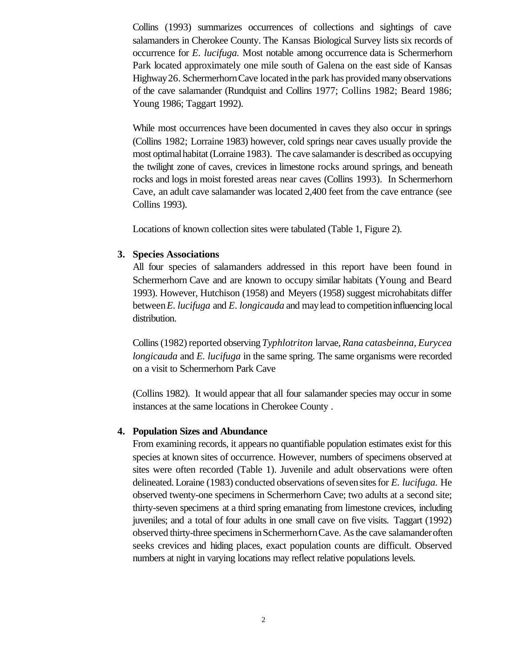Collins (1993) summarizes occurrences of collections and sightings of cave salamanders in Cherokee County. The Kansas Biological Survey lists six records of occurrence for *E. lucifuga.* Most notable among occurrence data is Schermerhorn Park located approximately one mile south of Galena on the east side of Kansas Highway 26. Schermerhorn Cave located in the park has provided many observations of the cave salamander (Rundquist and Collins 1977; Collins 1982; Beard 1986; Young 1986; Taggart 1992).

While most occurrences have been documented in caves they also occur in springs (Collins 1982; Lorraine 1983) however, cold springs near caves usually provide the most optimalhabitat(Lorraine 1983). The cave salamander is described as occupying the twilight zone of caves, crevices in limestone rocks around springs, and beneath rocks and logs in moist forested areas near caves (Collins 1993). In Schermerhorn Cave, an adult cave salamander was located 2,400 feet from the cave entrance (see Collins 1993).

Locations of known collection sites were tabulated (Table 1, Figure 2).

# **3. Species Associations**

All four species of salamanders addressed in this report have been found in Schermerhorn Cave and are known to occupy similar habitats (Young and Beard 1993). However, Hutchison (1958) and Meyers (1958) suggest microhabitats differ between*E. lucifuga* and *E. longicauda* and maylead to competitioninfluencing local distribution.

Collins(1982) reported observing *Typhlotriton* larvae, *Rana catasbeinna, Eurycea longicauda* and *E. lucifuga* in the same spring. The same organisms were recorded on a visit to Schermerhorn Park Cave

(Collins 1982). It would appear that all four salamander species may occur in some instances at the same locations in Cherokee County .

# **4. Population Sizes and Abundance**

From examining records, it appears no quantifiable population estimates exist for this species at known sites of occurrence. However, numbers of specimens observed at sites were often recorded (Table 1). Juvenile and adult observations were often delineated. Loraine (1983) conducted observations ofsevensitesfor *E. lucifuga.* He observed twenty-one specimens in Schermerhorn Cave; two adults at a second site; thirty-seven specimens at a third spring emanating from limestone crevices, including juveniles; and a total of four adults in one small cave on five visits. Taggart (1992) observed thirty-three specimens inSchermerhornCave. Asthe cave salamanderoften seeks crevices and hiding places, exact population counts are difficult. Observed numbers at night in varying locations may reflect relative populations levels.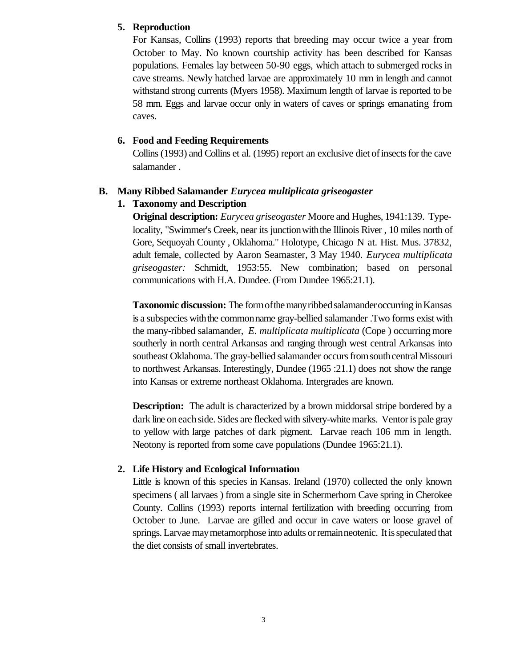### **5. Reproduction**

For Kansas, Collins (1993) reports that breeding may occur twice a year from October to May. No known courtship activity has been described for Kansas populations. Females lay between 50-90 eggs, which attach to submerged rocks in cave streams. Newly hatched larvae are approximately 10 mm in length and cannot withstand strong currents (Myers 1958). Maximum length of larvae is reported to be 58 mm. Eggs and larvae occur only in waters of caves or springs emanating from caves.

### **6. Food and Feeding Requirements**

Collins (1993) and Collins et al. (1995) report an exclusive diet of insects for the cave salamander .

#### **B. Many Ribbed Salamander** *Eurycea multiplicata griseogaster*

#### **1. Taxonomy and Description**

**Original description:** *Eurycea griseogaster* Moore and Hughes, 1941:139. Typelocality, "Swimmer's Creek, near its junctionwiththe Illinois River , 10 miles north of Gore, Sequoyah County , Oklahoma." Holotype, Chicago N at. Hist. Mus. 37832, adult female, collected by Aaron Seamaster, 3 May 1940. *Eurycea multiplicata griseogaster:* Schmidt, 1953:55. New combination; based on personal communications with H.A. Dundee. (From Dundee 1965:21.1).

**Taxonomic discussion:** The form of the many ribbed salamander occurring in Kansas is a subspecies withthe commonname gray-bellied salamander .Two forms exist with the many-ribbed salamander, *E. multiplicata multiplicata* (Cope ) occurring more southerly in north central Arkansas and ranging through west central Arkansas into southeast Oklahoma. The gray-bellied salamander occurs from south central Missouri to northwest Arkansas. Interestingly, Dundee (1965 :21.1) does not show the range into Kansas or extreme northeast Oklahoma. Intergrades are known.

**Description:** The adult is characterized by a brown middorsal stripe bordered by a dark line on each side. Sides are flecked with silvery-white marks. Ventor is pale gray to yellow with large patches of dark pigment. Larvae reach 106 mm in length. Neotony is reported from some cave populations (Dundee 1965:21.1).

#### **2. Life History and Ecological Information**

Little is known of this species in Kansas. Ireland (1970) collected the only known specimens ( all larvaes ) from a single site in Schermerhorn Cave spring in Cherokee County. Collins (1993) reports internal fertilization with breeding occurring from October to June. Larvae are gilled and occur in cave waters or loose gravel of springs. Larvae may metamorphose into adults or remain neotenic. It is speculated that the diet consists of small invertebrates.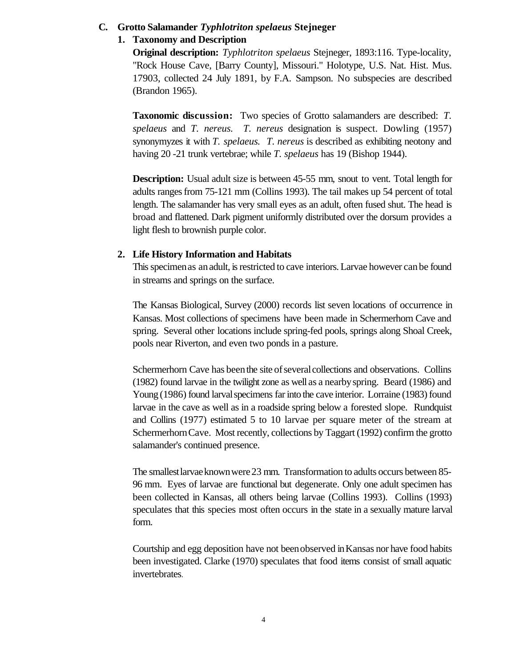# **C. Grotto Salamander** *Typhlotriton spelaeus* **Stejneger**

# **1. Taxonomy and Description**

**Original description:** *Typhlotriton spelaeus* Stejneger, 1893:116. Type-locality, "Rock House Cave, [Barry County], Missouri." Holotype, U.S. Nat. Hist. Mus. 17903, collected 24 July 1891, by F.A. Sampson. No subspecies are described (Brandon 1965).

**Taxonomic discussion:** Two species of Grotto salamanders are described: *T. spelaeus* and *T. nereus. T. nereus* designation is suspect. Dowling (1957) synonymyzes it with *T. spelaeus. T. nereus* is described as exhibiting neotony and having 20 -21 trunk vertebrae; while *T. spelaeus* has 19 (Bishop 1944).

**Description:** Usual adult size is between 45-55 mm, snout to vent. Total length for adults rangesfrom 75-121 mm (Collins 1993). The tail makes up 54 percent of total length. The salamander has very small eyes as an adult, often fused shut. The head is broad and flattened. Dark pigment uniformly distributed over the dorsum provides a light flesh to brownish purple color.

# **2. Life History Information and Habitats**

This specimen as an adult, is restricted to cave interiors. Larvae however can be found in streams and springs on the surface.

The Kansas Biological, Survey (2000) records list seven locations of occurrence in Kansas. Most collections of specimens have been made in Schermerhorn Cave and spring. Several other locations include spring-fed pools, springs along Shoal Creek, pools near Riverton, and even two ponds in a pasture.

Schermerhorn Cave has been the site of several collections and observations. Collins (1982) found larvae in the twilight zone as well as a nearbyspring. Beard (1986) and Young (1986) found larvalspecimens farinto the cave interior. Lorraine (1983) found larvae in the cave as well as in a roadside spring below a forested slope. Rundquist and Collins (1977) estimated 5 to 10 larvae per square meter of the stream at SchermerhornCave. Most recently, collections by Taggart (1992) confirm the grotto salamander's continued presence.

The smallestlarvaeknownwere23 mm. Transformation to adults occurs between 85- 96 mm. Eyes of larvae are functional but degenerate. Only one adult specimen has been collected in Kansas, all others being larvae (Collins 1993). Collins (1993) speculates that this species most often occurs in the state in a sexually mature larval form.

Courtship and egg deposition have not beenobserved inKansas nor have food habits been investigated. Clarke (1970) speculates that food items consist of small aquatic invertebrates.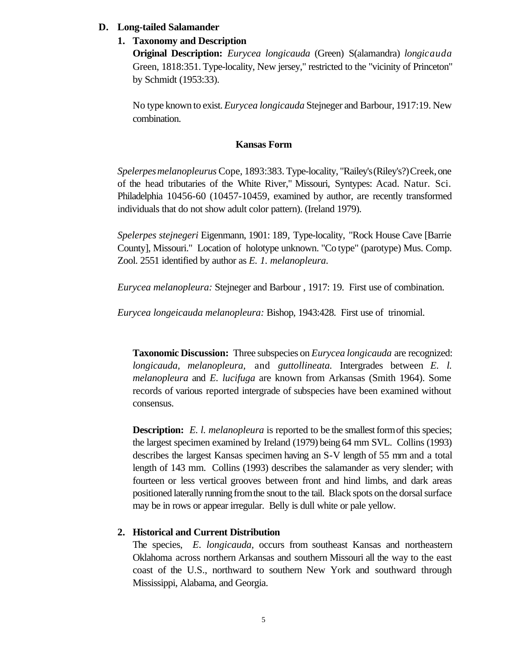#### **D. Long-tailed Salamander**

#### **1. Taxonomy and Description**

**Original Description:** *Eurycea longicauda* (Green) S(alamandra) *longicauda* Green, 1818:351. Type-locality, New jersey," restricted to the "vicinity of Princeton" by Schmidt (1953:33).

No type known to exist. *Eurycea longicauda* Stejneger and Barbour, 1917:19. New combination.

# **Kansas Form**

*Spelerpes melanopleurus* Cope, 1893:383. Type-locality, "Railey's(Riley's?)Creek, one of the head tributaries of the White River," Missouri, Syntypes: Acad. Natur. Sci. Philadelphia 10456-60 (10457-10459, examined by author, are recently transformed individuals that do not show adult color pattern). (Ireland 1979).

*Spelerpes stejnegeri* Eigenmann, 1901: 189, Type-locality, "Rock House Cave [Barrie County], Missouri." Location of holotype unknown. "Co type" (parotype) Mus. Comp. Zool. 2551 identified by author as *E. 1. melanopleura.*

*Eurycea melanopleura:* Stejneger and Barbour , 1917: 19. First use of combination.

*Eurycea longeicauda melanopleura:* Bishop, 1943:428. First use of trinomial.

**Taxonomic Discussion:** Three subspecies on *Eurycea longicauda* are recognized: *longicauda, melanopleura,* and *guttollineata.* Intergrades between *E. l*. *melanopleura* and *E. lucifuga* are known from Arkansas (Smith 1964). Some records of various reported intergrade of subspecies have been examined without consensus.

**Description:** *E. l. melanopleura* is reported to be the smallest form of this species; the largest specimen examined by Ireland (1979) being 64 mm SVL. Collins (1993) describes the largest Kansas specimen having an S-V length of 55 mm and a total length of 143 mm. Collins (1993) describes the salamander as very slender; with fourteen or less vertical grooves between front and hind limbs, and dark areas positioned laterally running fromthe snout to the tail. Black spots on the dorsal surface may be in rows or appear irregular. Belly is dull white or pale yellow.

# **2. Historical and Current Distribution**

The species, *E. longicauda,* occurs from southeast Kansas and northeastern Oklahoma across northern Arkansas and southern Missouri all the way to the east coast of the U.S., northward to southern New York and southward through Mississippi, Alabama, and Georgia.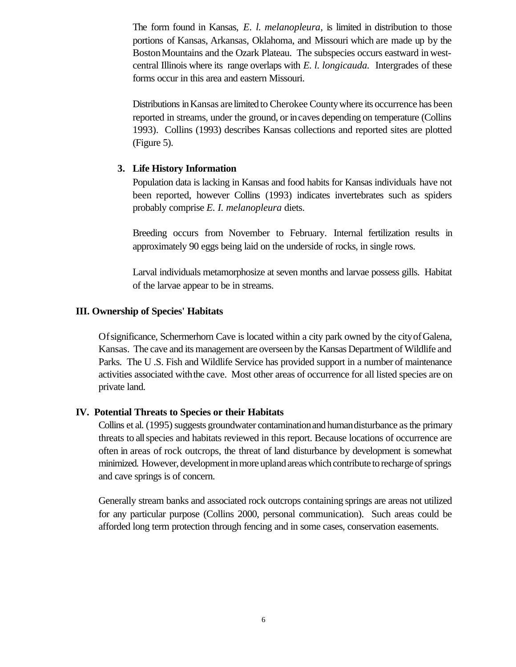The form found in Kansas, *E. l. melanopleura,* is limited in distribution to those portions of Kansas, Arkansas, Oklahoma, and Missouri which are made up by the BostonMountains and the Ozark Plateau. The subspecies occurs eastward in westcentral Illinois where its range overlaps with *E. l. longicauda.* Intergrades of these forms occur in this area and eastern Missouri.

Distributions inKansas are limited to Cherokee Countywhere its occurrence has been reported in streams, under the ground, or incaves depending on temperature (Collins 1993). Collins (1993) describes Kansas collections and reported sites are plotted (Figure 5).

# **3. Life History Information**

Population data is lacking in Kansas and food habits for Kansas individuals have not been reported, however Collins (1993) indicates invertebrates such as spiders probably comprise *E. I. melanopleura* diets.

Breeding occurs from November to February. Internal fertilization results in approximately 90 eggs being laid on the underside of rocks, in single rows.

Larval individuals metamorphosize at seven months and larvae possess gills. Habitat of the larvae appear to be in streams.

#### **III. Ownership of Species' Habitats**

Ofsignificance, Schermerhorn Cave is located within a city park owned by the cityofGalena, Kansas. The cave and its management are overseen by the Kansas Department of Wildlife and Parks. The U .S. Fish and Wildlife Service has provided support in a number of maintenance activities associated with the cave. Most other areas of occurrence for all listed species are on private land.

# **IV. Potential Threats to Species or their Habitats**

Collins et al. (1995) suggests groundwater contamination and human disturbance as the primary threats to allspecies and habitats reviewed in this report. Because locations of occurrence are often in areas of rock outcrops, the threat of land disturbance by development is somewhat minimized. However, development in more upland areas which contribute to recharge of springs and cave springs is of concern.

Generally stream banks and associated rock outcrops containing springs are areas not utilized for any particular purpose (Collins 2000, personal communication). Such areas could be afforded long term protection through fencing and in some cases, conservation easements.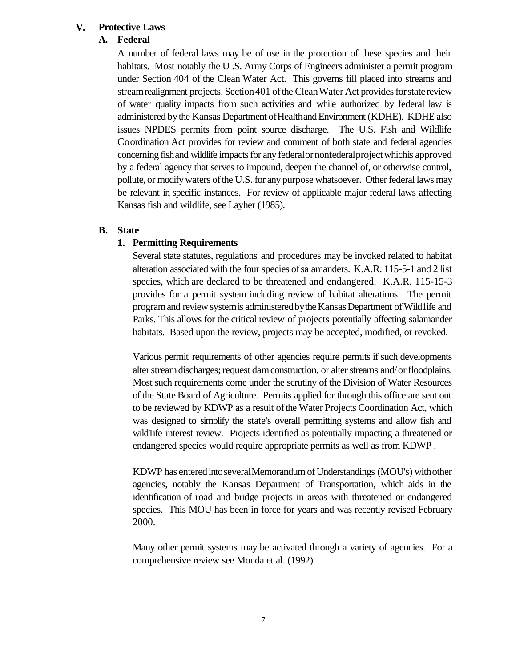# **V. Protective Laws**

# **A. Federal**

A number of federal laws may be of use in the protection of these species and their habitats. Most notably the U .S. Army Corps of Engineers administer a permit program under Section 404 of the Clean Water Act. This governs fill placed into streams and stream realignment projects. Section 401 of the Clean Water Act provides for state review of water quality impacts from such activities and while authorized by federal law is administered bythe Kansas Department ofHealthandEnvironment (KDHE). KDHE also issues NPDES permits from point source discharge. The U.S. Fish and Wildlife Coordination Act provides for review and comment of both state and federal agencies concerning fish and wildlife impacts for any federal or nonfederal project which is approved by a federal agency that serves to impound, deepen the channel of, or otherwise control, pollute, or modify waters of the U.S. for any purpose whatsoever. Other federal laws may be relevant in specific instances. For review of applicable major federal laws affecting Kansas fish and wildlife, see Layher (1985).

# **B. State**

# **1. Permitting Requirements**

Several state statutes, regulations and procedures may be invoked related to habitat alteration associated with the four species ofsalamanders. K.A.R. 115-5-1 and 2 list species, which are declared to be threatened and endangered. K.A.R. 115-15-3 provides for a permit system including review of habitat alterations. The permit program and review system is administered by the Kansas Department of Wild1ife and Parks. This allows for the critical review of projects potentially affecting salamander habitats. Based upon the review, projects may be accepted, modified, or revoked.

Various permit requirements of other agencies require permits if such developments alter stream discharges; request dam construction, or alter streams and/or floodplains. Most such requirements come under the scrutiny of the Division of Water Resources of the State Board of Agriculture. Permits applied for through this office are sent out to be reviewed by KDWP as a result of the Water Projects Coordination Act, which was designed to simplify the state's overall permitting systems and allow fish and wild1ife interest review. Projects identified as potentially impacting a threatened or endangered species would require appropriate permits as well as from KDWP .

KDWP has entered into several Memorandum of Understandings (MOU's) with other agencies, notably the Kansas Department of Transportation, which aids in the identification of road and bridge projects in areas with threatened or endangered species. This MOU has been in force for years and was recently revised February 2000.

Many other permit systems may be activated through a variety of agencies. For a comprehensive review see Monda et al. (1992).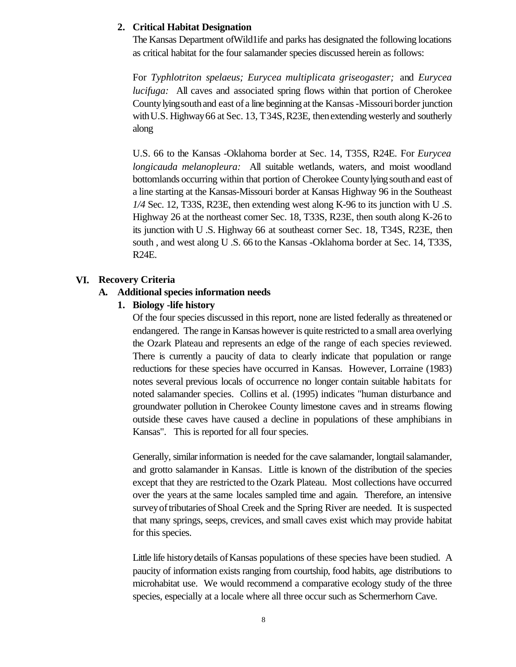# **2. Critical Habitat Designation**

The Kansas Department ofWild1ife and parks has designated the following locations as critical habitat for the four salamander species discussed herein as follows:

For *Typhlotriton spelaeus; Eurycea multiplicata griseogaster;* and *Eurycea lucifuga:* All caves and associated spring flows within that portion of Cherokee Countylyingsouthand east of a line beginning at the Kansas-Missouriborder junction with U.S. Highway 66 at Sec.  $13$ , T34S, R23E, then extending westerly and southerly along

U.S. 66 to the Kansas -Oklahoma border at Sec. 14, T35S, R24E. For *Eurycea longicauda melanopleura:* All suitable wetlands, waters, and moist woodland bottomlands occurring within that portion of Cherokee Countylyingsouthand east of a line starting at the Kansas-Missouri border at Kansas Highway 96 in the Southeast *1/4* Sec. 12, T33S, R23E, then extending west along K-96 to its junction with U .S. Highway 26 at the northeast comer Sec. 18, T33S, R23E, then south along K-26 to its junction with U .S. Highway 66 at southeast corner Sec. 18, T34S, R23E, then south , and west along U .S. 66 to the Kansas -Oklahoma border at Sec. 14, T33S, R24E.

#### **VI. Recovery Criteria**

#### **A. Additional species information needs**

#### **1. Biology -life history**

Of the four species discussed in this report, none are listed federally as threatened or endangered. The range in Kansas however is quite restricted to a small area overlying the Ozark Plateau and represents an edge of the range of each species reviewed. There is currently a paucity of data to clearly indicate that population or range reductions for these species have occurred in Kansas. However, Lorraine (1983) notes several previous locals of occurrence no longer contain suitable habitats for noted salamander species. Collins et al. (1995) indicates "human disturbance and groundwater pollution in Cherokee County limestone caves and in streams flowing outside these caves have caused a decline in populations of these amphibians in Kansas". This is reported for all four species.

Generally, similar information is needed for the cave salamander, longtail salamander, and grotto salamander in Kansas. Little is known of the distribution of the species except that they are restricted to the Ozark Plateau. Most collections have occurred over the years at the same locales sampled time and again. Therefore, an intensive surveyoftributaries ofShoal Creek and the Spring River are needed. It is suspected that many springs, seeps, crevices, and small caves exist which may provide habitat for this species.

Little life history details of Kansas populations of these species have been studied. A paucity of information exists ranging from courtship, food habits, age distributions to microhabitat use. We would recommend a comparative ecology study of the three species, especially at a locale where all three occur such as Schermerhorn Cave.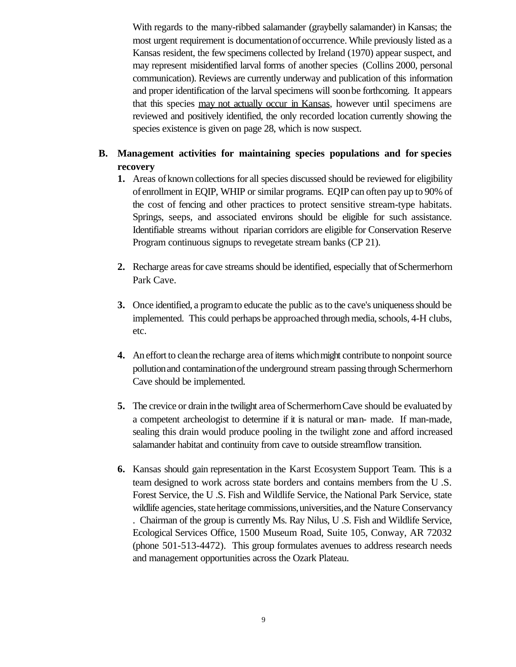With regards to the many-ribbed salamander (graybelly salamander) in Kansas; the most urgent requirement is documentationofoccurrence. While previously listed as a Kansas resident, the few specimens collected by Ireland (1970) appear suspect, and may represent misidentified larval forms of another species (Collins 2000, personal communication). Reviews are currently underway and publication of this information and proper identification of the larval specimens will soonbe forthcoming. It appears that this species may not actually occur in Kansas, however until specimens are reviewed and positively identified, the only recorded location currently showing the species existence is given on page 28, which is now suspect.

# **B. Management activities for maintaining species populations and for species recovery**

- **1.** Areas ofknown collections for all species discussed should be reviewed for eligibility of enrollment in EQIP, WHIP or similar programs. EQIP can often pay up to 90% of the cost of fencing and other practices to protect sensitive stream-type habitats. Springs, seeps, and associated environs should be eligible for such assistance. Identifiable streams without riparian corridors are eligible for Conservation Reserve Program continuous signups to revegetate stream banks (CP 21).
- **2.** Recharge areas for cave streams should be identified, especially that of Schermerhorn Park Cave.
- **3.** Once identified, a program to educate the public as to the cave's uniqueness should be implemented. This could perhaps be approached through media, schools, 4-H clubs, etc.
- **4.** An effort to clean the recharge area of items which might contribute to nonpoint source pollutionand contaminationofthe underground stream passing through Schermerhorn Cave should be implemented.
- **5.** The crevice or drain in the twilight area of Schermerhorn Cave should be evaluated by a competent archeologist to determine if it is natural or man- made. If man-made, sealing this drain would produce pooling in the twilight zone and afford increased salamander habitat and continuity from cave to outside streamflow transition.
- **6.** Kansas should gain representation in the Karst Ecosystem Support Team. This is a team designed to work across state borders and contains members from the U .S. Forest Service, the U .S. Fish and Wildlife Service, the National Park Service, state wildlife agencies, state heritage commissions, universities, and the Nature Conservancy . Chairman of the group is currently Ms. Ray Nilus, U .S. Fish and Wildlife Service, Ecological Services Office, 1500 Museum Road, Suite 105, Conway, AR 72032 (phone 501-513-4472). This group formulates avenues to address research needs and management opportunities across the Ozark Plateau.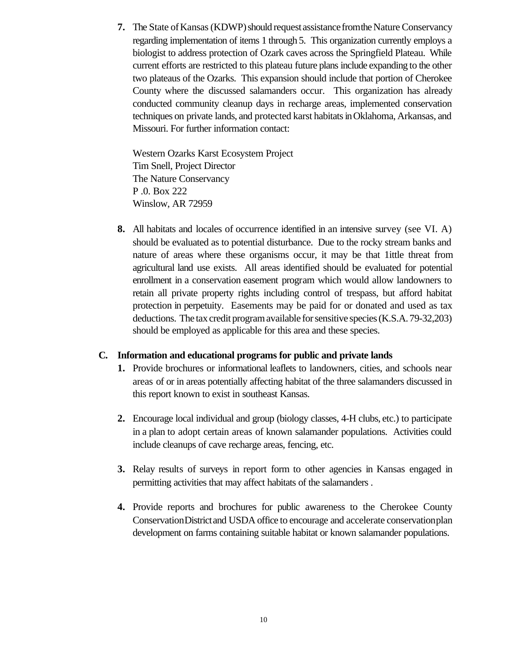**7.** The State of Kansas (KDWP) should request assistance from the Nature Conservancy regarding implementation of items 1 through 5. This organization currently employs a biologist to address protection of Ozark caves across the Springfield Plateau. While current efforts are restricted to this plateau future plans include expanding to the other two plateaus of the Ozarks. This expansion should include that portion of Cherokee County where the discussed salamanders occur. This organization has already conducted community cleanup days in recharge areas, implemented conservation techniques on private lands, and protected karst habitatsinOklahoma, Arkansas, and Missouri. For further information contact:

Western Ozarks Karst Ecosystem Project Tim Snell, Project Director The Nature Conservancy P .0. Box 222 Winslow, AR 72959

**8.** All habitats and locales of occurrence identified in an intensive survey (see VI. A) should be evaluated as to potential disturbance. Due to the rocky stream banks and nature of areas where these organisms occur, it may be that 1ittle threat from agricultural land use exists. All areas identified should be evaluated for potential enrollment in a conservation easement program which would allow landowners to retain all private property rights including control of trespass, but afford habitat protection in perpetuity. Easements may be paid for or donated and used as tax deductions. The tax credit program available for sensitive species (K.S.A. 79-32,203) should be employed as applicable for this area and these species.

# **C. Information and educational programs for public and private lands**

- **1.** Provide brochures or informational leaflets to landowners, cities, and schools near areas of or in areas potentially affecting habitat of the three salamanders discussed in this report known to exist in southeast Kansas.
- **2.** Encourage local individual and group (biology classes, 4-H clubs, etc.) to participate in a plan to adopt certain areas of known salamander populations. Activities could include cleanups of cave recharge areas, fencing, etc.
- **3.** Relay results of surveys in report form to other agencies in Kansas engaged in permitting activities that may affect habitats of the salamanders .
- **4.** Provide reports and brochures for public awareness to the Cherokee County ConservationDistrictand USDA office to encourage and accelerate conservationplan development on farms containing suitable habitat or known salamander populations.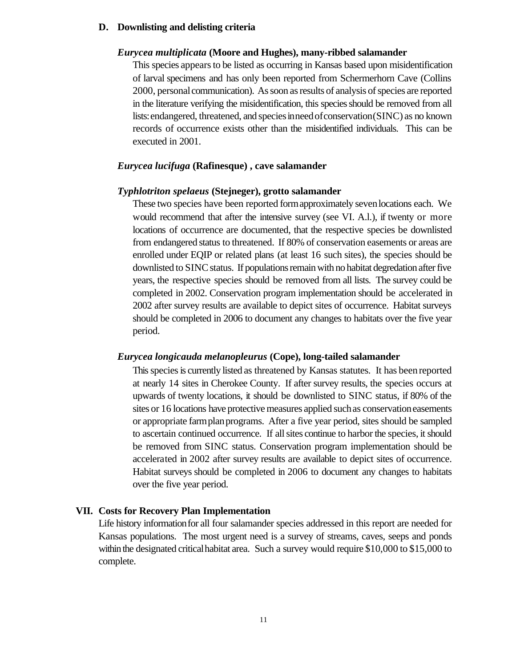#### **D. Downlisting and delisting criteria**

#### *Eurycea multiplicata* **(Moore and Hughes), many-ribbed salamander**

This species appearsto be listed as occurring in Kansas based upon misidentification of larval specimens and has only been reported from Schermerhorn Cave (Collins 2000, personalcommunication). As soon as results of analysis of species are reported in the literature verifying the misidentification, this speciesshould be removed from all lists: endangered, threatened, and species in need of conservation (SINC) as no known records of occurrence exists other than the misidentified individuals. This can be executed in 2001.

#### *Eurycea lucifuga* **(Rafinesque) , cave salamander**

#### *Typhlotriton spelaeus* **(Stejneger), grotto salamander**

These two species have been reported formapproximately sevenlocations each. We would recommend that after the intensive survey (see VI. A.l.), if twenty or more locations of occurrence are documented, that the respective species be downlisted from endangered status to threatened. If 80% of conservation easements or areas are enrolled under EQIP or related plans (at least 16 such sites), the species should be downlisted to SINC status. If populations remain with no habitat degredation after five years, the respective species should be removed from all lists. The survey could be completed in 2002. Conservation program implementation should be accelerated in 2002 after survey results are available to depict sites of occurrence. Habitat surveys should be completed in 2006 to document any changes to habitats over the five year period.

#### *Eurycea longicauda melanopleurus* **(Cope), long-tailed salamander**

Thisspeciesis currently listed as threatened by Kansas statutes. It has beenreported at nearly 14 sites in Cherokee County. If after survey results, the species occurs at upwards of twenty locations, it should be downlisted to SINC status, if 80% of the sites or 16 locations have protective measures applied suchas conservationeasements or appropriate farmplanprograms. After a five year period, sites should be sampled to ascertain continued occurrence. If allsites continue to harbor the species, it should be removed from SINC status. Conservation program implementation should be accelerated in 2002 after survey results are available to depict sites of occurrence. Habitat surveys should be completed in 2006 to document any changes to habitats over the five year period.

#### **VII. Costs for Recovery Plan Implementation**

Life history informationfor all four salamander species addressed in this report are needed for Kansas populations. The most urgent need is a survey of streams, caves, seeps and ponds within the designated critical habitat area. Such a survey would require \$10,000 to \$15,000 to complete.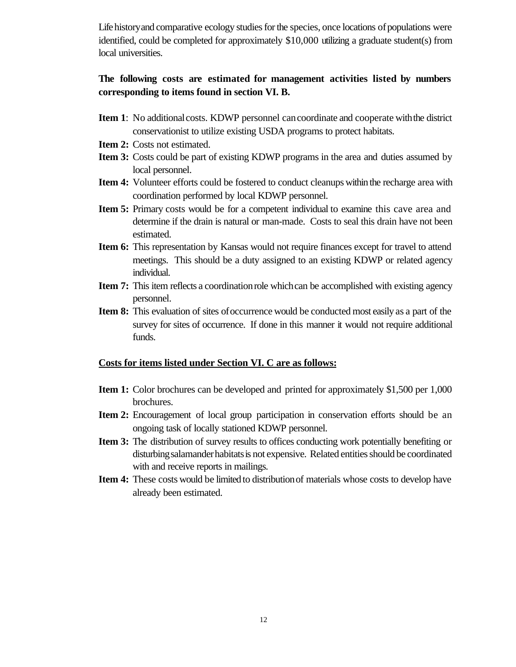Life history and comparative ecology studies for the species, once locations of populations were identified, could be completed for approximately \$10,000 utilizing a graduate student(s) from local universities.

# **The following costs are estimated for management activities listed by numbers corresponding to items found in section VI. B.**

- **Item 1**: No additional costs. KDWP personnel can coordinate and cooperate with the district conservationist to utilize existing USDA programs to protect habitats.
- **Item 2:** Costs not estimated.
- **Item 3:** Costs could be part of existing KDWP programs in the area and duties assumed by local personnel.
- **Item 4:** Volunteer efforts could be fostered to conduct cleanups within the recharge area with coordination performed by local KDWP personnel.
- **Item 5:** Primary costs would be for a competent individual to examine this cave area and determine if the drain is natural or man-made. Costs to seal this drain have not been estimated.
- **Item 6:** This representation by Kansas would not require finances except for travel to attend meetings. This should be a duty assigned to an existing KDWP or related agency individual.
- **Item 7:** This item reflects a coordination role which can be accomplished with existing agency personnel.
- **Item 8:** This evaluation of sites of occurrence would be conducted most easily as a part of the survey for sites of occurrence. If done in this manner it would not require additional funds.

#### **Costs for items listed under Section VI. C are as follows:**

- **Item 1:** Color brochures can be developed and printed for approximately \$1,500 per 1,000 brochures.
- **Item 2:** Encouragement of local group participation in conservation efforts should be an ongoing task of locally stationed KDWP personnel.
- **Item 3:** The distribution of survey results to offices conducting work potentially benefiting or disturbing salamander habitats is not expensive. Related entities should be coordinated with and receive reports in mailings.
- **Item 4:** These costs would be limited to distributionof materials whose costs to develop have already been estimated.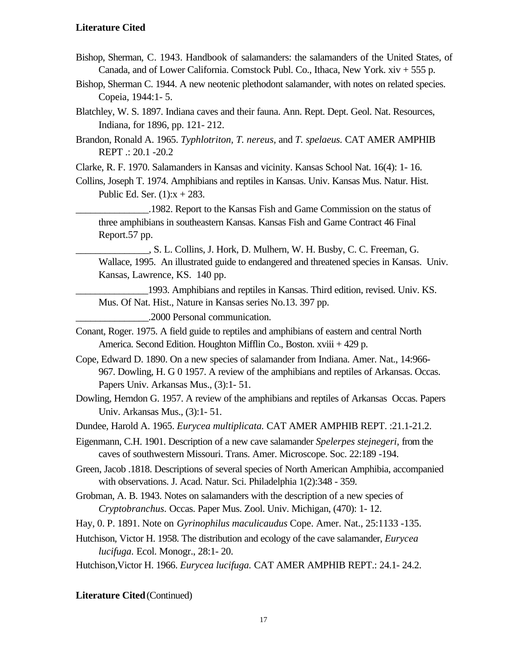#### **Literature Cited**

- Bishop, Sherman, C. 1943. Handbook of salamanders: the salamanders of the United States, of Canada, and of Lower California. Comstock Publ. Co., Ithaca, New York. xiv + 555 p.
- Bishop, Sherman C. 1944. A new neotenic plethodont salamander, with notes on related species. Copeia, 1944:1- 5.
- Blatchley, W. S. 1897. Indiana caves and their fauna. Ann. Rept. Dept. Geol. Nat. Resources, Indiana, for 1896, pp. 121- 212.
- Brandon, Ronald A. 1965. *Typhlotriton, T. nereus,* and *T. spelaeus.* CAT AMER AMPHIB REPT .: 20.1 -20.2
- Clarke, R. F. 1970. Salamanders in Kansas and vicinity. Kansas School Nat. 16(4): 1- 16.
- Collins, Joseph T. 1974. Amphibians and reptiles in Kansas. Univ. Kansas Mus. Natur. Hist. Public Ed. Ser.  $(1):x + 283$ .

\_\_\_\_\_\_\_\_\_\_\_\_\_\_\_.1982. Report to the Kansas Fish and Game Commission on the status of three amphibians in southeastern Kansas. Kansas Fish and Game Contract 46 Final Report.57 pp.

\_\_\_\_\_\_\_\_\_\_\_\_\_\_\_, S. L. Collins, J. Hork, D. Mulhern, W. H. Busby, C. C. Freeman, G. Wallace, 1995. An illustrated guide to endangered and threatened species in Kansas. Univ. Kansas, Lawrence, KS. 140 pp.

1993. Amphibians and reptiles in Kansas. Third edition, revised. Univ. KS. Mus. Of Nat. Hist., Nature in Kansas series No.13. 397 pp.

\_\_\_\_\_\_\_\_\_\_\_\_\_\_\_.2000 Personal communication.

- Conant, Roger. 1975. A field guide to reptiles and amphibians of eastern and central North America. Second Edition. Houghton Mifflin Co., Boston. xviii + 429 p.
- Cope, Edward D. 1890. On a new species of salamander from Indiana. Amer. Nat., 14:966- 967. Dowling, H. G 0 1957. A review of the amphibians and reptiles of Arkansas. Occas. Papers Univ. Arkansas Mus., (3):1- 51.
- Dowling, Herndon G. 1957. A review of the amphibians and reptiles of Arkansas Occas. Papers Univ. Arkansas Mus., (3):1- 51.
- Dundee, Harold A. 1965. *Eurycea multiplicata.* CAT AMER AMPHIB REPT. :21.1-21.2.
- Eigenmann, C.H. 1901. Description of a new cave salamander *Spelerpes stejnegeri,* from the caves of southwestern Missouri. Trans. Amer. Microscope. Soc. 22:189 -194.
- Green, Jacob .1818. Descriptions of several species of North American Amphibia, accompanied with observations. J. Acad. Natur. Sci. Philadelphia 1(2):348 - 359.
- Grobman, A. B. 1943. Notes on salamanders with the description of a new species of *Cryptobranchus.* Occas. Paper Mus. Zool. Univ. Michigan, (470): 1- 12.
- Hay, 0. P. 1891. Note on *Gyrinophilus maculicaudus* Cope. Amer. Nat., 25:1133 -135.
- Hutchison, Victor H. 1958. The distribution and ecology of the cave salamander, *Eurycea lucifuga.* Ecol. Monogr., 28:1- 20.
- Hutchison,Victor H. 1966. *Eurycea lucifuga.* CAT AMER AMPHIB REPT.: 24.1- 24.2.

#### **Literature Cited** (Continued)